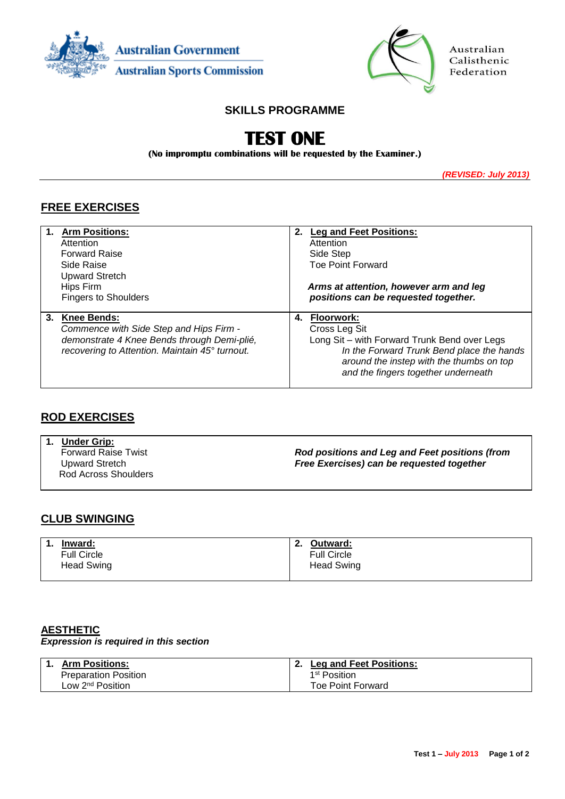



Australian Calisthenic Federation

## **SKILLS PROGRAMME**

# **TEST ONE**

**(No impromptu combinations will be requested by the Examiner.)**

*(REVISED: July 2013)*

# **FREE EXERCISES**

|    | <b>Arm Positions:</b>                          | 2. | <b>Leg and Feet Positions:</b>               |
|----|------------------------------------------------|----|----------------------------------------------|
|    | Attention                                      |    | Attention                                    |
|    | <b>Forward Raise</b>                           |    | Side Step                                    |
|    | Side Raise                                     |    | <b>Toe Point Forward</b>                     |
|    | <b>Upward Stretch</b>                          |    |                                              |
|    | Hips Firm                                      |    | Arms at attention, however arm and leg       |
|    | <b>Fingers to Shoulders</b>                    |    | positions can be requested together.         |
|    |                                                |    |                                              |
| 3. | <b>Knee Bends:</b>                             | 4. | <b>Floorwork:</b>                            |
|    | Commence with Side Step and Hips Firm -        |    | Cross Leg Sit                                |
|    | demonstrate 4 Knee Bends through Demi-plié,    |    | Long Sit - with Forward Trunk Bend over Legs |
|    | recovering to Attention. Maintain 45° turnout. |    | In the Forward Trunk Bend place the hands    |
|    |                                                |    | around the instep with the thumbs on top     |
|    |                                                |    | and the fingers together underneath          |

### **ROD EXERCISES**

**1. Under Grip:** Forward Raise Twist Upward Stretch Rod Across Shoulders *Rod positions and Leg and Feet positions (from Free Exercises) can be requested together*

## **CLUB SWINGING**

| Inward:            | Ζ. | Outward:           |
|--------------------|----|--------------------|
| <b>Full Circle</b> |    | <b>Full Circle</b> |
| <b>Head Swing</b>  |    | <b>Head Swing</b>  |

#### **AESTHETIC**

*Expression is required in this section*

| Arm Positions:               | <b>Leg and Feet Positions:</b> |
|------------------------------|--------------------------------|
| <b>Preparation Position</b>  | 1st Position                   |
| Low 2 <sup>nd</sup> Position | Toe Point Forward              |